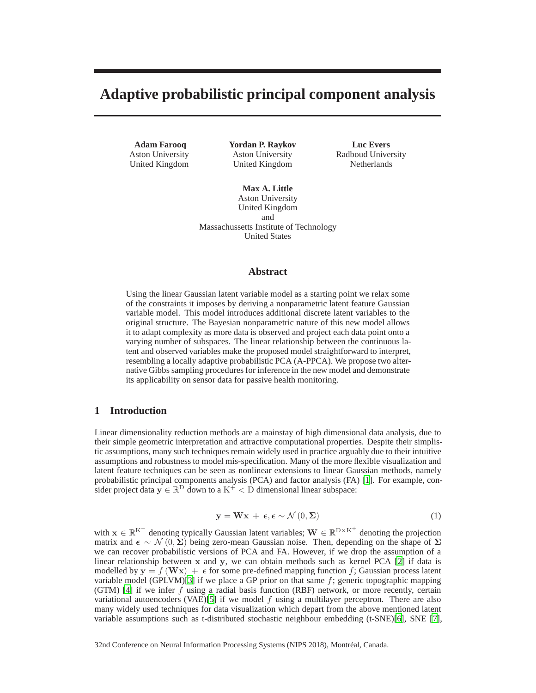# **Adaptive probabilistic principal component analysis**

**Adam Farooq** Aston University United Kingdom **Yordan P. Raykov** Aston University United Kingdom

**Luc Evers** Radboud University Netherlands

**Max A. Little** Aston University United Kingdom and Massachussetts Institute of Technology United States

# **Abstract**

Using the linear Gaussian latent variable model as a starting point we relax some of the constraints it imposes by deriving a nonparametric latent feature Gaussian variable model. This model introduces additional discrete latent variables to the original structure. The Bayesian nonparametric nature of this new model allows it to adapt complexity as more data is observed and project each data point onto a varying number of subspaces. The linear relationship between the continuous latent and observed variables make the proposed model straightforward to interpret, resembling a locally adaptive probabilistic PCA (A-PPCA). We propose two alternative Gibbs sampling procedures for inference in the new model and demonstrate its applicability on sensor data for passive health monitoring.

# <span id="page-0-1"></span>**1 Introduction**

Linear dimensionality reduction methods are a mainstay of high dimensional data analysis, due to their simple geometric interpretation and attractive computational properties. Despite their simplistic assumptions, many such techniques remain widely used in practice arguably due to their intuitive assumptions and robustness to model mis-specification. Many of the more flexible visualization and latent feature techniques can be seen as nonlinear extensions to linear Gaussian methods, namely probabilistic principal components analysis (PCA) and factor analysis (FA) [\[1](#page-4-0)]. For example, consider project data  $y \in \mathbb{R}^D$  down to a  $K^+ < D$  dimensional linear subspace:

<span id="page-0-0"></span>
$$
\mathbf{y} = \mathbf{W}\mathbf{x} + \boldsymbol{\epsilon}, \boldsymbol{\epsilon} \sim \mathcal{N}\left(0, \boldsymbol{\Sigma}\right) \tag{1}
$$

with  $\mathbf{x} \in \mathbb{R}^{K^+}$  denoting typically Gaussian latent variables;  $\mathbf{W} \in \mathbb{R}^{D \times K^+}$  denoting the projection matrix and  $\epsilon \sim \mathcal{N}(0, \Sigma)$  being zero-mean Gaussian noise. Then, depending on the shape of  $\Sigma$ we can recover probabilistic versions of PCA and FA. However, if we drop the assumption of a linear relationship between x and y, we can obtain methods such as kernel PCA [\[2](#page-4-1)] if data is modelled by  $y = f(Wx) + \epsilon$  for some pre-defined mapping function f; Gaussian process latent variable model (GPLVM)[\[3\]](#page-4-2) if we place a GP prior on that same  $f$ ; generic topographic mapping (GTM) [\[4\]](#page-4-3) if we infer  $f$  using a radial basis function (RBF) network, or more recently, certain variational autoencoders (VAE)[\[5](#page-4-4)] if we model f using a multilayer perceptron. There are also many widely used techniques for data visualization which depart from the above mentioned latent variable assumptions such as t-distributed stochastic neighbour embedding (t-SNE)[\[6\]](#page-4-5), SNE [\[7\]](#page-4-6),

32nd Conference on Neural Information Processing Systems (NIPS 2018), Montréal, Canada.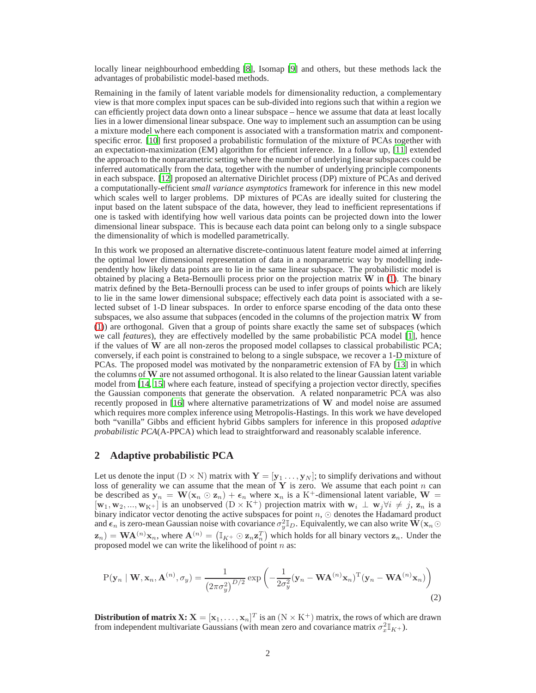locally linear neighbourhood embedding [\[8\]](#page-4-7), Isomap [\[9](#page-4-8)] and others, but these methods lack the advantages of probabilistic model-based methods.

Remaining in the family of latent variable models for dimensionality reduction, a complementary view is that more complex input spaces can be sub-divided into regions such that within a region we can efficiently project data down onto a linear subspace – hence we assume that data at least locally lies in a lower dimensional linear subspace. One way to implement such an assumption can be using a mixture model where each component is associated with a transformation matrix and componentspecific error. [\[10](#page-4-9)] first proposed a probabilistic formulation of the mixture of PCAs together with an expectation-maximization (EM) algorithm for efficient inference. In a follow up, [\[11](#page-4-10)] extended the approach to the nonparametric setting where the number of underlying linear subspaces could be inferred automatically from the data, together with the number of underlying principle components in each subspace. [\[12](#page-4-11)] proposed an alternative Dirichlet process (DP) mixture of PCAs and derived a computationally-efficient *small variance asymptotics* framework for inference in this new model which scales well to larger problems. DP mixtures of PCAs are ideally suited for clustering the input based on the latent subspace of the data, however, they lead to inefficient representations if one is tasked with identifying how well various data points can be projected down into the lower dimensional linear subspace. This is because each data point can belong only to a single subspace the dimensionality of which is modelled parametrically.

In this work we proposed an alternative discrete-continuous latent feature model aimed at inferring the optimal lower dimensional representation of data in a nonparametric way by modelling independently how likely data points are to lie in the same linear subspace. The probabilistic model is obtained by placing a Beta-Bernoulli process prior on the projection matrix  $W$  in [\(1\)](#page-0-0). The binary matrix defined by the Beta-Bernoulli process can be used to infer groups of points which are likely to lie in the same lower dimensional subspace; effectively each data point is associated with a selected subset of 1-D linear subspaces. In order to enforce sparse encoding of the data onto these subspaces, we also assume that subpaces (encoded in the columns of the projection matrix W from [\(1\)](#page-0-0)) are orthogonal. Given that a group of points share exactly the same set of subspaces (which we call *features*), they are effectively modelled by the same probabilistic PCA model [\[1](#page-4-0)], hence if the values of W are all non-zeros the proposed model collapses to classical probabilistic PCA; conversely, if each point is constrained to belong to a single subspace, we recover a 1-D mixture of PCAs. The proposed model was motivated by the nonparametric extension of FA by [\[13](#page-4-12)] in which the columns of  $W$  are not assumed orthogonal. It is also related to the linear Gaussian latent variable model from [\[14,](#page-4-13) [15\]](#page-4-14) where each feature, instead of specifying a projection vector directly, specifies the Gaussian components that generate the observation. A related nonparametric PCA was also recently proposed in [\[16\]](#page-4-15) where alternative parametrizations of W and model noise are assumed which requires more complex inference using Metropolis-Hastings. In this work we have developed both "vanilla" Gibbs and efficient hybrid Gibbs samplers for inference in this proposed *adaptive probabilistic PCA*(A-PPCA) which lead to straightforward and reasonably scalable inference.

## **2 Adaptive probabilistic PCA**

Let us denote the input  $(D \times N)$  matrix with  $\mathbf{Y} = [\mathbf{y}_1 \dots, \mathbf{y}_N]$ ; to simplify derivations and without loss of generality we can assume that the mean of Y is zero. We assume that each point n can be described as  $\mathbf{y}_n = \mathbf{W}(\mathbf{x}_n \odot \mathbf{z}_n) + \boldsymbol{\epsilon}_n$  where  $\mathbf{x}_n$  is a K<sup>+</sup>-dimensional latent variable,  $\mathbf{W} =$  $[w_1, w_2, ..., w_{K^+}]$  is an unobserved  $(D \times K^+)$  projection matrix with  $w_i \perp w_j \forall i \neq j$ ,  $z_n$  is a binary indicator vector denoting the active subspaces for point  $n$ , ⊙ denotes the Hadamard product and  $\epsilon_n$  is zero-mean Gaussian noise with covariance  $\sigma_y^2 \mathbb{I}_D$ . Equivalently, we can also write  $\dot{W}(x_n \odot$  $\mathbf{z}_n$ ) =  $\mathbf{WA}^{(n)}\mathbf{x}_n$ , where  $\mathbf{A}^{(n)} = (\mathbb{I}_{K^+}\odot\mathbf{z}_n\mathbf{z}_n^T)$  which holds for all binary vectors  $\mathbf{z}_n$ . Under the proposed model we can write the likelihood of point  $n$  as:

<span id="page-1-0"></span>
$$
P(\mathbf{y}_n \mid \mathbf{W}, \mathbf{x}_n, \mathbf{A}^{(n)}, \sigma_y) = \frac{1}{(2\pi\sigma_y^2)^{D/2}} \exp\left(-\frac{1}{2\sigma_y^2}(\mathbf{y}_n - \mathbf{W}\mathbf{A}^{(n)}\mathbf{x}_n)^{\mathrm{T}}(\mathbf{y}_n - \mathbf{W}\mathbf{A}^{(n)}\mathbf{x}_n)\right)
$$
(2)

**Distribution of matrix X:**  $X = [x_1, \ldots, x_n]^T$  is an  $(N \times K^+)$  matrix, the rows of which are drawn from independent multivariate Gaussians (with mean zero and covariance matrix  $\sigma_x^2 \mathbb{I}_{K^+}$ ).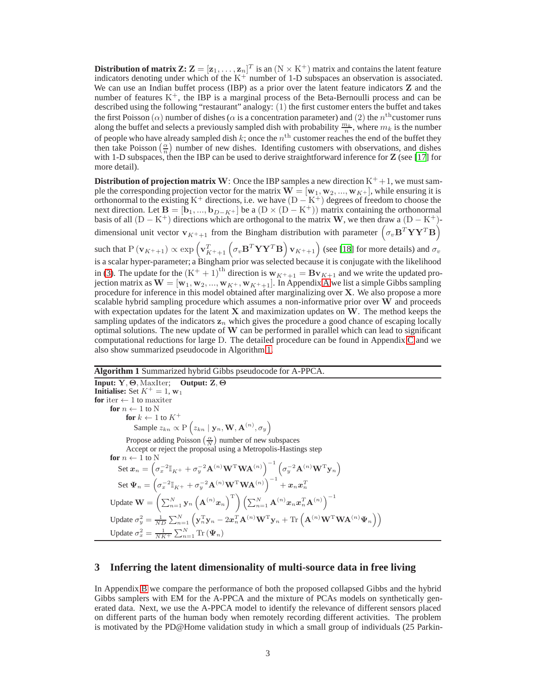$\mathbf{Distribution~of~matrix}~\mathbf{Z:}\ \mathbf{Z}=[\mathbf{z}_1,\ldots,\mathbf{z}_n]^T~\text{is an}~(\text{N}\times\text{K}^+)~\text{matrix and contains the latent feature}$ indicators denoting under which of the  $K^+$  number of 1-D subspaces an observation is associated. We can use an Indian buffet process (IBP) as a prior over the latent feature indicators **Z** and the number of features  $K^+$ , the IBP is a marginal process of the Beta-Bernoulli process and can be described using the following "restaurant" analogy: (1) the first customer enters the buffet and takes the first Poisson  $(\alpha)$  number of dishes ( $\alpha$  is a concentration parameter) and (2) the  $n^{\text{th}}$ customer runs along the buffet and selects a previously sampled dish with probability  $\frac{m_k}{n}$ , where  $m_k$  is the number of people who have already sampled dish  $k$ ; once the  $n^{\rm th}$  customer reaches the end of the buffet they then take Poisson  $\left(\frac{\alpha}{n}\right)$  number of new dishes. Identifing customers with observations, and dishes with 1-D subspaces, then the IBP can be used to derive straightforward inference for **Z** (see [\[17\]](#page-4-16) for more detail).

**Distribution of projection matrix W**: Once the IBP samples a new direction  $K^+ + 1$ , we must sample the corresponding projection vector for the matrix  $\mathbf{W} = [\mathbf{w}_1, \mathbf{w}_2, ..., \mathbf{w}_{K^+}]$ , while ensuring it is orthonormal to the existing K<sup>+</sup> directions, i.e. we have  $(D - K^+)$  degrees of freedom to choose the next direction. Let  $B = [b_1, ..., b_{D-K^+}]$  be a  $(D \times (D - K^+))$  matrix containing the orthonormal basis of all  $(D - K^+)$  directions which are orthogonal to the matrix W, we then draw a  $(D - K^+)$ dimensional unit vector  $\mathbf{v}_{K^++1}$  from the Bingham distribution with parameter  $(\sigma_v \mathbf{B}^T \mathbf{Y} \mathbf{Y}^T \mathbf{B})$ 

such that  $\rm P\left(v_{K^++1}\right) \propto \exp\left(v_{K^++1}^T\left(\sigma_v\mathbf{B}^T\mathbf{YY}^T\mathbf{B}\right)\mathbf{v}_{K^++1}\right)$  (see [\[18](#page-4-17)] for more details) and  $\sigma_v$ is a scalar hyper-parameter; a Bingham prior was selected because it is conjugate with the likelihood in [\(3\)](#page-5-0). The update for the  $(K^+ + 1)^{th}$  direction is  $w_{K^+ + 1} = Bv_{K+1}$  and we write the updated projection matrix as  $\mathbf{W} = [\mathbf{w}_1, \mathbf{w}_2, ..., \mathbf{w}_{K^+}, \mathbf{w}_{K^++1}]$ . In [A](#page-5-1)ppendix A we list a simple Gibbs sampling procedure for inference in this model obtained after marginalizing over X. We also propose a more scalable hybrid sampling procedure which assumes a non-informative prior over W and proceeds with expectation updates for the latent  $X$  and maximization updates on  $W$ . The method keeps the sampling updates of the indicators  $z_n$  which gives the procedure a good chance of escaping locally optimal solutions. The new update of  $W$  can be performed in parallel which can lead to significant computational reductions for large D. The detailed procedure can be found in Appendix [C](#page-6-0) and we also show summarized pseudocode in Algorithm [1.](#page-2-0)

<span id="page-2-0"></span>**Algorithm 1** Summarized hybrid Gibbs pseudocode for A-PPCA. **Input:** Y, Θ, MaxIter; **Output:** Z, Θ **Initialise:** Set  $K^+ = 1$ , w<sub>1</sub> **for** iter  $\leftarrow$  1 to maxiter **for**  $n \leftarrow 1$  to N  $\mathbf{for}\ k \leftarrow 1$  to  $K^+$ Sample  $z_{kn} \propto P\left(z_{kn} \mid \mathbf{y}_n, \mathbf{W}, \mathbf{A}^{(n)}, \sigma_y\right)$ Propose adding Poisson  $\left(\frac{\alpha}{N}\right)$  number of new subspaces Accept or reject the proposal using a Metropolis-Hastings step **for**  $n \leftarrow 1$  to N Set  $\boldsymbol{x}_n = \left(\sigma_x^{-2} \mathbb{I}_{K^+} + \sigma_y^{-2} \mathbf{A}^{(n)} \mathbf{W}^{\mathrm{T}} \mathbf{W} \mathbf{A}^{(n)}\right)^{-1} \left(\sigma_y^{-2} \mathbf{A}^{(n)} \mathbf{W}^{\mathrm{T}} \mathbf{y}_n\right)$  $\operatorname{Set}\Psi_n=\left(\sigma_x^{-2}\mathbb{I}_{K^+}+\sigma_y^{-2}\mathbf{A}^{(n)}\mathbf{W}^{\mathrm{T}}\mathbf{W}\mathbf{A}^{(n)}\right)^{-1}+x_nx_n^T$ Update  $\mathbf{W} = \left( \sum_{n=1}^N \mathbf{y}_n \left( \mathbf{A}^{(n)} \boldsymbol{x}_n \right)^{\mathrm{T}} \right) \left( \sum_{n=1}^N \mathbf{A}^{(n)} \boldsymbol{x}_n \boldsymbol{x}_n^T \mathbf{A}^{(n)} \right)^{-1}$ Update  $\sigma_y^2 = \frac{1}{ND} \sum_{n=1}^{N} \left( \mathbf{y}_n^{\mathrm{T}} \mathbf{y}_n - 2 \boldsymbol{x}_n^{\mathrm{T}} \mathbf{A}^{(n)} \mathbf{W}^{\mathrm{T}} \mathbf{y}_n + \text{Tr} \left( \mathbf{A}^{(n)} \mathbf{W}^{\mathrm{T}} \mathbf{W} \mathbf{A}^{(n)} \boldsymbol{\Psi}_n \right) \right)$ Update  $\sigma_x^2 = \frac{1}{NK^+} \sum_{n=1}^{N} \text{Tr} (\Psi_n)$ 

#### **3 Inferring the latent dimensionality of multi-source data in free living**

In Appendix [B](#page-5-2) we compare the performance of both the proposed collapsed Gibbs and the hybrid Gibbs samplers with EM for the A-PPCA and the mixture of PCAs models on synthetically generated data. Next, we use the A-PPCA model to identify the relevance of different sensors placed on different parts of the human body when remotely recording different activities. The problem is motivated by the PD@Home validation study in which a small group of individuals (25 Parkin-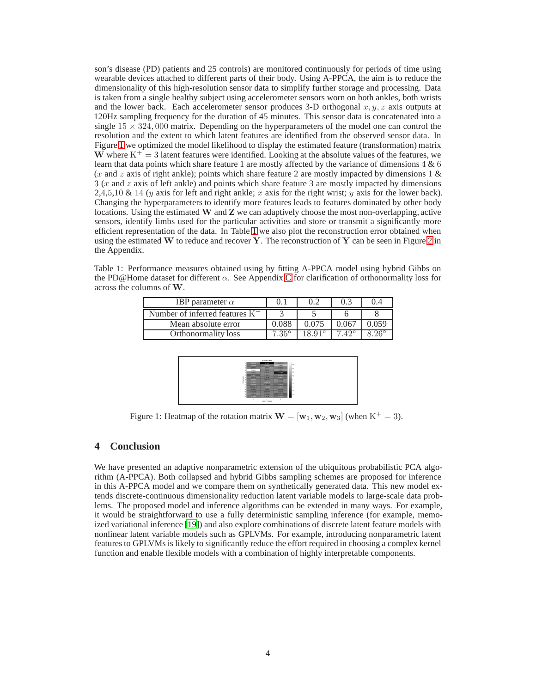son's disease (PD) patients and 25 controls) are monitored continuously for periods of time using wearable devices attached to different parts of their body. Using A-PPCA, the aim is to reduce the dimensionality of this high-resolution sensor data to simplify further storage and processing. Data is taken from a single healthy subject using accelerometer sensors worn on both ankles, both wrists and the lower back. Each accelerometer sensor produces 3-D orthogonal  $x, y, z$  axis outputs at 120Hz sampling frequency for the duration of 45 minutes. This sensor data is concatenated into a single  $15 \times 324,000$  matrix. Depending on the hyperparameters of the model one can control the resolution and the extent to which latent features are identified from the observed sensor data. In Figure [1](#page-3-0) we optimized the model likelihood to display the estimated feature (transformation) matrix W where  $K^+=3$  latent features were identified. Looking at the absolute values of the features, we learn that data points which share feature 1 are mostly affected by the variance of dimensions 4 & 6 (x and z axis of right ankle); points which share feature 2 are mostly impacted by dimensions 1  $\&$  $3$  (x and z axis of left ankle) and points which share feature 3 are mostly impacted by dimensions 2,4,5,10 & 14 (y axis for left and right ankle; x axis for the right wrist; y axis for the lower back). Changing the hyperparameters to identify more features leads to features dominated by other body locations. Using the estimated  $W$  and  $Z$  we can adaptively choose the most non-overlapping, active sensors, identify limbs used for the particular activities and store or transmit a significantly more efficient representation of the data. In Table [1](#page-3-1) we also plot the reconstruction error obtained when using the estimated W to reduce and recover Y. The reconstruction of Y can be seen in Figure [2](#page-8-0) in the Appendix.

Table 1: Performance measures obtained using by fitting A-PPCA model using hybrid Gibbs on the PD@Home dataset for different  $\alpha$ . See Appendix [C](#page-6-0) for clarification of orthonormality loss for across the columns of W.

<span id="page-3-1"></span>

| IBP parameter $\alpha$            |       |  |  |
|-----------------------------------|-------|--|--|
| Number of inferred features $K^+$ |       |  |  |
| Mean absolute error               | 2.088 |  |  |
| Orthonormality loss               |       |  |  |



<span id="page-3-0"></span>Figure 1: Heatmap of the rotation matrix  $\mathbf{W} = [\mathbf{w}_1, \mathbf{w}_2, \mathbf{w}_3]$  (when  $K^+ = 3$ ).

## <span id="page-3-2"></span>**4 Conclusion**

We have presented an adaptive nonparametric extension of the ubiquitous probabilistic PCA algorithm (A-PPCA). Both collapsed and hybrid Gibbs sampling schemes are proposed for inference in this A-PPCA model and we compare them on synthetically generated data. This new model extends discrete-continuous dimensionality reduction latent variable models to large-scale data problems. The proposed model and inference algorithms can be extended in many ways. For example, it would be straightforward to use a fully deterministic sampling inference (for example, memoized variational inference [\[19\]](#page-4-18)) and also explore combinations of discrete latent feature models with nonlinear latent variable models such as GPLVMs. For example, introducing nonparametric latent features to GPLVMs is likely to significantly reduce the effort required in choosing a complex kernel function and enable flexible models with a combination of highly interpretable components.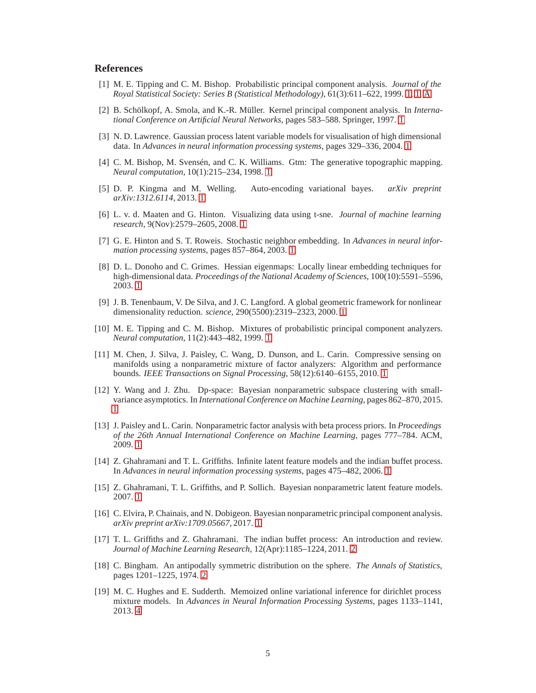# **References**

- <span id="page-4-0"></span>[1] M. E. Tipping and C. M. Bishop. Probabilistic principal component analysis. *Journal of the Royal Statistical Society: Series B (Statistical Methodology)*, 61(3):611–622, 1999. [1,](#page-0-1) [1,](#page-0-0) [A](#page-5-0)
- <span id="page-4-1"></span>[2] B. Schölkopf, A. Smola, and K.-R. Müller. Kernel principal component analysis. In *International Conference on Artificial Neural Networks*, pages 583–588. Springer, 1997. [1](#page-0-0)
- <span id="page-4-2"></span>[3] N. D. Lawrence. Gaussian process latent variable models for visualisation of high dimensional data. In *Advances in neural information processing systems*, pages 329–336, 2004. [1](#page-0-0)
- <span id="page-4-3"></span>[4] C. M. Bishop, M. Svensén, and C. K. Williams. Gtm: The generative topographic mapping. *Neural computation*, 10(1):215–234, 1998. [1](#page-0-0)
- <span id="page-4-4"></span>[5] D. P. Kingma and M. Welling. Auto-encoding variational bayes. *arXiv preprint arXiv:1312.6114*, 2013. [1](#page-0-0)
- <span id="page-4-5"></span>[6] L. v. d. Maaten and G. Hinton. Visualizing data using t-sne. *Journal of machine learning research*, 9(Nov):2579–2605, 2008. [1](#page-0-0)
- <span id="page-4-6"></span>[7] G. E. Hinton and S. T. Roweis. Stochastic neighbor embedding. In *Advances in neural information processing systems*, pages 857–864, 2003. [1](#page-0-0)
- <span id="page-4-7"></span>[8] D. L. Donoho and C. Grimes. Hessian eigenmaps: Locally linear embedding techniques for high-dimensional data. *Proceedings of the National Academy of Sciences*, 100(10):5591–5596, 2003. [1](#page-0-0)
- <span id="page-4-8"></span>[9] J. B. Tenenbaum, V. De Silva, and J. C. Langford. A global geometric framework for nonlinear dimensionality reduction. *science*, 290(5500):2319–2323, 2000. [1](#page-0-0)
- <span id="page-4-9"></span>[10] M. E. Tipping and C. M. Bishop. Mixtures of probabilistic principal component analyzers. *Neural computation*, 11(2):443–482, 1999. [1](#page-0-0)
- <span id="page-4-10"></span>[11] M. Chen, J. Silva, J. Paisley, C. Wang, D. Dunson, and L. Carin. Compressive sensing on manifolds using a nonparametric mixture of factor analyzers: Algorithm and performance bounds. *IEEE Transactions on Signal Processing*, 58(12):6140–6155, 2010. [1](#page-0-0)
- <span id="page-4-11"></span>[12] Y. Wang and J. Zhu. Dp-space: Bayesian nonparametric subspace clustering with smallvariance asymptotics. In *International Conference on Machine Learning*, pages 862–870, 2015. [1](#page-0-0)
- <span id="page-4-12"></span>[13] J. Paisley and L. Carin. Nonparametric factor analysis with beta process priors. In *Proceedings of the 26th Annual International Conference on Machine Learning*, pages 777–784. ACM, 2009. [1](#page-0-0)
- <span id="page-4-13"></span>[14] Z. Ghahramani and T. L. Griffiths. Infinite latent feature models and the indian buffet process. In *Advances in neural information processing systems*, pages 475–482, 2006. [1](#page-0-0)
- <span id="page-4-14"></span>[15] Z. Ghahramani, T. L. Griffiths, and P. Sollich. Bayesian nonparametric latent feature models. 2007. [1](#page-0-0)
- <span id="page-4-15"></span>[16] C. Elvira, P. Chainais, and N. Dobigeon. Bayesian nonparametric principal component analysis. *arXiv preprint arXiv:1709.05667*, 2017. [1](#page-0-0)
- <span id="page-4-16"></span>[17] T. L. Griffiths and Z. Ghahramani. The indian buffet process: An introduction and review. *Journal of Machine Learning Research*, 12(Apr):1185–1224, 2011. [2](#page-1-0)
- <span id="page-4-17"></span>[18] C. Bingham. An antipodally symmetric distribution on the sphere. *The Annals of Statistics*, pages 1201–1225, 1974. [2](#page-1-0)
- <span id="page-4-18"></span>[19] M. C. Hughes and E. Sudderth. Memoized online variational inference for dirichlet process mixture models. In *Advances in Neural Information Processing Systems*, pages 1133–1141, 2013. [4](#page-3-2)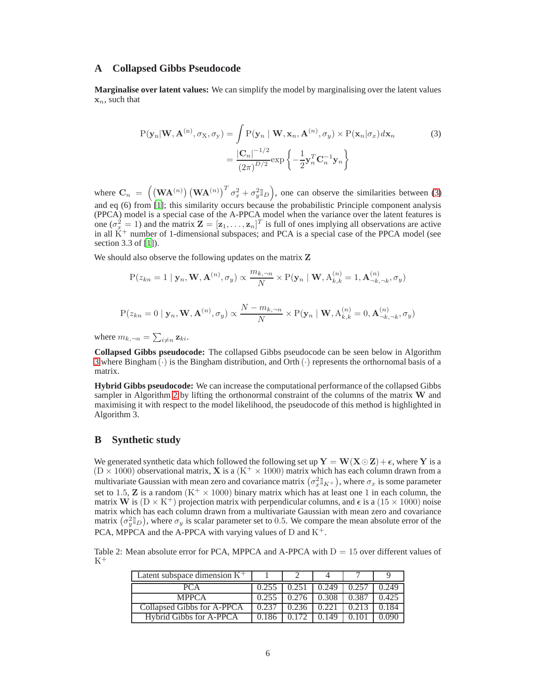#### <span id="page-5-1"></span>**A Collapsed Gibbs Pseudocode**

**Marginalise over latent values:** We can simplify the model by marginalising over the latent values  $x_n$ , such that

<span id="page-5-0"></span>
$$
P(\mathbf{y}_n | \mathbf{W}, \mathbf{A}^{(n)}, \sigma_{\mathbf{X}}, \sigma_{\mathbf{y}}) = \int P(\mathbf{y}_n | \mathbf{W}, \mathbf{x}_n, \mathbf{A}^{(n)}, \sigma_{\mathbf{y}}) \times P(\mathbf{x}_n | \sigma_x) d\mathbf{x}_n
$$
  

$$
= \frac{|\mathbf{C}_n|^{-1/2}}{(2\pi)^{D/2}} \exp\left\{-\frac{1}{2} \mathbf{y}_n^T \mathbf{C}_n^{-1} \mathbf{y}_n\right\}
$$
 (3)

where  $\mathbf{C}_n = \left( (\mathbf{W} \mathbf{A}^{(n)}) (\mathbf{W} \mathbf{A}^{(n)})^T \sigma_x^2 + \sigma_y^2 \mathbb{I}_D \right)$ , one can observe the similarities between [\(3\)](#page-5-0) and eq (6) from [\[1\]](#page-4-0); this similarity occurs because the probabilistic Principle component analysis (PPCA) model is a special case of the A-PPCA model when the variance over the latent features is one ( $\sigma_x^2 = 1$ ) and the matrix  $\mathbf{Z} = [\mathbf{z}_1, \dots, \mathbf{z}_n]^T$  is full of ones implying all observations are active in all  $\tilde{K}^+$  number of 1-dimensional subspaces; and PCA is a special case of the PPCA model (see section 3.3 of [\[1\]](#page-4-0)).

We should also observe the following updates on the matrix **Z** 

$$
\mathrm{P}(z_{kn}=1\mid\mathbf{y}_n,\mathbf{W},\mathbf{A}^{(n)},\sigma_y)\propto\frac{m_{k,\neg n}}{N}\times\mathrm{P}(\mathbf{y}_n\mid\mathbf{W},\mathrm{A}^{(n)}_{k,k}=1,\mathbf{A}^{(n)}_{\neg k,\neg k},\sigma_y)
$$

$$
P(z_{kn} = 0 \mid \mathbf{y}_n, \mathbf{W}, \mathbf{A}^{(n)}, \sigma_y) \propto \frac{N - m_{k, \neg n}}{N} \times P(\mathbf{y}_n \mid \mathbf{W}, \mathbf{A}_{k,k}^{(n)} = 0, \mathbf{A}_{\neg k, \neg k}^{(n)}, \sigma_y)
$$

where  $m_{k, \neg n} = \sum_{i \neq n} z_{ki}$ .

**Collapsed Gibbs pseudocode:** The collapsed Gibbs pseudocode can be seen below in Algorithm [3](#page-7-0) where Bingham  $(\cdot)$  is the Bingham distribution, and Orth  $(\cdot)$  represents the orthornomal basis of a matrix.

**Hybrid Gibbs pseudocode:** We can increase the computational performance of the collapsed Gibbs sampler in Algorithm [2](#page-6-1) by lifting the orthonormal constraint of the columns of the matrix  $W$  and maximising it with respect to the model likelihood, the pseudocode of this method is highlighted in Algorithm 3.

# <span id="page-5-2"></span>**B Synthetic study**

We generated synthetic data which followed the following set up  $Y = W(X \odot Z) + \epsilon$ , where Y is a  $(D \times 1000)$  observational matrix, **X** is a  $(K^+ \times 1000)$  matrix which has each column drawn from a multivariate Gaussian with mean zero and covariance matrix  $(\sigma_x^2 \mathbb{I}_{K^+})$ , where  $\sigma_x$  is some parameter set to 1.5, **Z** is a random  $(K^+ \times 1000)$  binary matrix which has at least one 1 in each column, the matrix W is  $(D \times K^+)$  projection matrix with perpendicular columns, and  $\epsilon$  is a  $(15 \times 1000)$  noise matrix which has each column drawn from a multivariate Gaussian with mean zero and covariance matrix  $(\sigma_y^2 \mathbb{I}_D)$ , where  $\sigma_y$  is scalar parameter set to 0.5. We compare the mean absolute error of the PCA, MPPCA and the A-PPCA with varying values of D and  $K^+$ .

Table 2: Mean absolute error for PCA, MPPCA and A-PPCA with  $D = 15$  over different values of  $K^+$ 

| Latent subspace dimension $K^+$ |       |       |       |       |
|---------------------------------|-------|-------|-------|-------|
| PC A                            |       | 0.249 |       |       |
| <b>MPPCA</b>                    | 0.276 | 0.308 | 0.387 | 0.425 |
| Collapsed Gibbs for A-PPCA      |       |       |       |       |
| Hybrid Gibbs for A-PPCA         |       |       |       |       |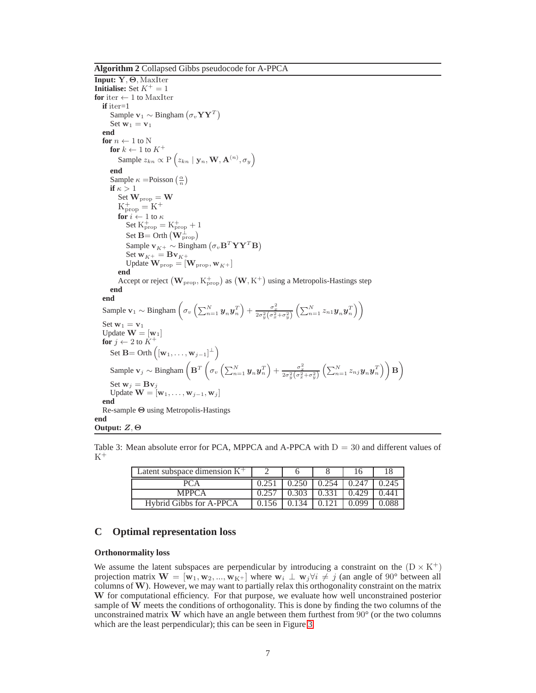<span id="page-6-1"></span>**Algorithm 2** Collapsed Gibbs pseudocode for A-PPCA

**Input:** Y, Θ, MaxIter **Initialise:** Set  $K^+ = 1$ **for** iter  $\leftarrow$  1 to MaxIter **if** iter=1 Sample  $v_1 \sim$  Bingham  $(\sigma_v \mathbf{YY}^T)$ Set  $w_1 = v_1$ **end for**  $n \leftarrow 1$  to N  $\mathbf{for} \; k \leftarrow 1$  to  $K^+$ Sample  $z_{kn} \propto P\left(z_{kn} \mid \mathbf{y}_n, \mathbf{W}, \mathbf{A}^{(n)}, \sigma_y\right)$ **end** Sample  $\kappa$  =Poisson  $\left(\frac{\alpha}{n}\right)$ **if**  $\kappa > 1$ Set  $\mathbf{W}_{\text{prop}} = \mathbf{W}$  $K_{prop}^+$  =  $K^+$ **for**  $i \leftarrow 1$  to  $\kappa$ Set  $K_{\text{prop}}^+ = K_{\text{prop}}^+ + 1$ Set  $\overline{\mathbf{B}} = \text{Orth}\left(\mathbf{W}_{\text{prop}}^{\perp}\right)$ Sample  $\mathbf{v}_{K^+} \sim \text{Bingham}(\sigma_v \mathbf{B}^T \mathbf{Y} \mathbf{Y}^T \mathbf{B})$ Set  $\mathbf{w}_{K^+} = \mathbf{B} \mathbf{v}_{K^+}$ Update  $\mathbf{W}_{\text{prop}} = [\mathbf{W}_{\text{prop}}, \mathbf{w}_{K^+}]$ **end** Accept or reject  $(\mathbf{W}_{\text{prop}}, K_{\text{prop}}^+)$  as  $(\mathbf{W}, K^+)$  using a Metropolis-Hastings step **end end** Sample  $\mathbf{v}_1 \sim \text{Bingham}\left(\sigma_v\left(\sum_{n=1}^N \bm{y}_n \bm{y}_n^T\right) + \frac{\sigma_x^2}{2\sigma_y^2(\sigma_x^2 + \sigma_y^2)}\left(\sum_{n=1}^N z_{n1} \bm{y}_n \bm{y}_n^T\right)\right)$ Set  $w_1 = v_1$ Update  $\mathbf{W} = [\mathbf{w}_1]$ **for**  $j \leftarrow 2$  to  $K^+$ Set  $\mathbf{B} = \text{Orth}\left(\left[\mathbf{w}_1, \ldots, \mathbf{w}_{j-1}\right]^{\perp}\right)$ Sample  $\mathbf{v}_j \sim \text{Bingham}\left(\mathbf{B}^T\left(\sigma_v\left(\sum_{n=1}^N \bm{y}_n \bm{y}_n^T\right) + \frac{\sigma_x^2}{2\sigma_y^2(\sigma_x^2 + \sigma_y^2)}\left(\sum_{n=1}^N z_{nj} \bm{y}_n \bm{y}_n^T\right)\right)\mathbf{B}\right)$ Set  $\mathbf{w}_i = \mathbf{B} \mathbf{v}_j$ Update  $\mathbf{W} = [\mathbf{w}_1, \dots, \mathbf{w}_{j-1}, \mathbf{w}_j]$ **end** Re-sample Θ using Metropolis-Hastings **end Output:** Z, Θ

Table 3: Mean absolute error for PCA, MPPCA and A-PPCA with  $D = 30$  and different values of  $K^+$ 

| Latent subspace dimension $K^+$ |       |       | 16    |       |
|---------------------------------|-------|-------|-------|-------|
|                                 | 0.250 | 0.254 | 0.247 | 0.245 |
| <b>MPPCA</b>                    | 0.303 | 0.331 | 0.429 | 0.441 |
| Hybrid Gibbs for A-PPCA         | በ 134 |       | 0.099 |       |

## <span id="page-6-0"></span>**C Optimal representation loss**

#### **Orthonormality loss**

We assume the latent subspaces are perpendicular by introducing a constraint on the  $(D \times K^+)$ projection matrix  $\mathbf{W} = [\mathbf{w}_1, \mathbf{w}_2, ..., \mathbf{w}_{K^+}]$  where  $\mathbf{w}_i \perp \mathbf{w}_j \forall i \neq j$  (an angle of 90° between all columns of W). However, we may want to partially relax this orthogonality constraint on the matrix W for computational efficiency. For that purpose, we evaluate how well unconstrained posterior sample of W meets the conditions of orthogonality. This is done by finding the two columns of the unconstrained matrix W which have an angle between them furthest from  $90^{\circ}$  (or the two columns which are the least perpendicular); this can be seen in Figure [3.](#page-8-1)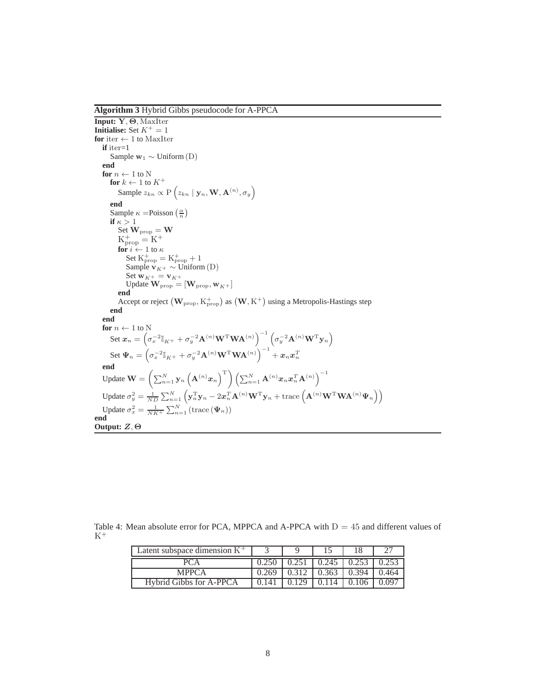<span id="page-7-0"></span>**Algorithm 3** Hybrid Gibbs pseudocode for A-PPCA

```
Input: Y, Θ, MaxIter
Initialise: Set K^+ = 1for iter \leftarrow 1 to MaxIter
    if iter=1
          Sample \mathbf{w}_1 \sim \text{Uniform}(\mathbf{D})end
    for n \leftarrow 1 to N
          \mathbf{for}\;k\leftarrow 1 to K^+Sample z_{kn} \propto P\left(z_{kn} \mid \mathbf{y}_n, \mathbf{W}, \mathbf{A}^{(n)}, \sigma_y\right)end
           Sample \kappa =Poisson \left(\frac{\alpha}{n}\right)if \kappa > 1Set \mathbf{W}_{\text{prop}} = \mathbf{W}K_{prop}^+ = K^+for i \leftarrow 1 to \kappaSet K_{\text{prop}}^+ = K_{\text{prop}}^+ + 1Sample \mathbf{v}_{K^+} \sim \text{Uniform}(\mathbf{D})Set \mathbf{w}_{K^+} = \mathbf{v}_{K^+}Update \mathbf{W}_{\text{prop}} = [\mathbf{W}_{\text{prop}}, \mathbf{w}_{K^+}]end
                Accept or reject (\mathbf{W}_{\text{prop}}, K_{\text{prop}}^+) as (\mathbf{W}, K^+) using a Metropolis-Hastings step
          end
     end
    for n \leftarrow 1 to N
           Set \boldsymbol{x}_n = \left(\sigma_x^{-2} \mathbb{I}_{K^+} + \sigma_y^{-2} \mathbf{A}^{(n)} \mathbf{W}^{\mathrm{T}} \mathbf{W} \mathbf{A}^{(n)}\right)^{-1} \left(\sigma_y^{-2} \mathbf{A}^{(n)} \mathbf{W}^{\mathrm{T}} \mathbf{y}_n\right)\operatorname{Set}\Psi_n=\left(\sigma_x^{-2}\mathbb{I}_{K^+}+\sigma_y^{-2}\mathbf{A}^{(n)}\mathbf{W}^{\mathrm{T}}\mathbf{W}\mathbf{A}^{(n)}\right)^{-1}+x_nx_n^Tend
      Update \mathbf{W} = \left( \sum_{n=1}^N \mathbf{y}_n \left( \mathbf{A}^{(n)} \boldsymbol{x}_n \right)^{\mathrm{T}} \right) \left( \sum_{n=1}^N \mathbf{A}^{(n)} \boldsymbol{x}_n \boldsymbol{x}_n^T \mathbf{A}^{(n)} \right)^{-1}Update \sigma_y^2 = \frac{1}{ND} \sum_{n=1}^{N} \left( \mathbf{y}_n^{\mathrm{T}} \mathbf{y}_n - 2 \boldsymbol{x}_n^{\mathrm{T}} \mathbf{A}^{(n)} \mathbf{W}^{\mathrm{T}} \mathbf{y}_n + \text{trace} \left( \mathbf{A}^{(n)} \mathbf{W}^{\mathrm{T}} \mathbf{W} \mathbf{A}^{(n)} \boldsymbol{\Psi}_n \right) \right)Update \sigma_x^2 = \frac{1}{NK^+} \sum_{n=1}^N (\text{trace}(\Psi_n))end
Output: Z, Θ
```
Table 4: Mean absolute error for PCA, MPPCA and A-PPCA with  $D = 45$  and different values of  $K^+$ 

| Latent subspace dimension $K^+$ |                |       |       |        |
|---------------------------------|----------------|-------|-------|--------|
|                                 |                | 0.245 | 0.253 |        |
| <b>MPPCA</b>                    | 0.269          | 0.363 | 0.394 | ().464 |
| <b>Hybrid Gibbs for A-PPCA</b>  | $0.14^{\circ}$ |       |       |        |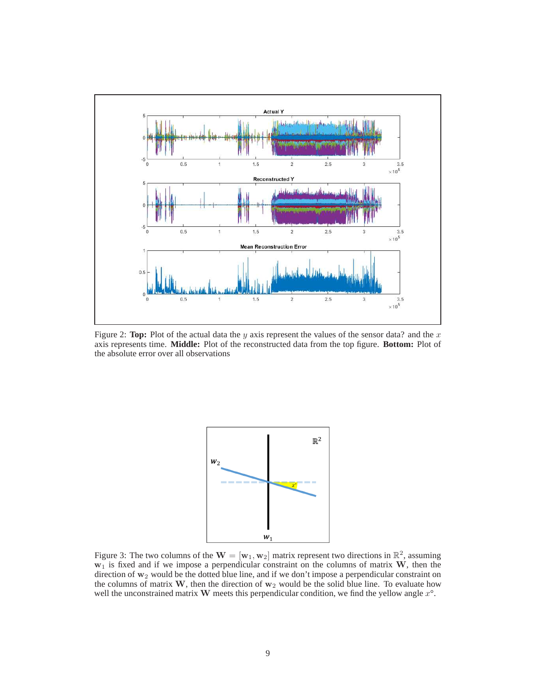

<span id="page-8-0"></span>Figure 2: **Top:** Plot of the actual data the y axis represent the values of the sensor data? and the  $x$ axis represents time. **Middle:** Plot of the reconstructed data from the top figure. **Bottom:** Plot of the absolute error over all observations



<span id="page-8-1"></span>Figure 3: The two columns of the  $\mathbf{W} = [\mathbf{w}_1, \mathbf{w}_2]$  matrix represent two directions in  $\mathbb{R}^2$ , assuming  $w_1$  is fixed and if we impose a perpendicular constraint on the columns of matrix W, then the direction of  $w_2$  would be the dotted blue line, and if we don't impose a perpendicular constraint on the columns of matrix W, then the direction of  $w_2$  would be the solid blue line. To evaluate how well the unconstrained matrix  $W$  meets this perpendicular condition, we find the yellow angle  $x^{\circ}$ .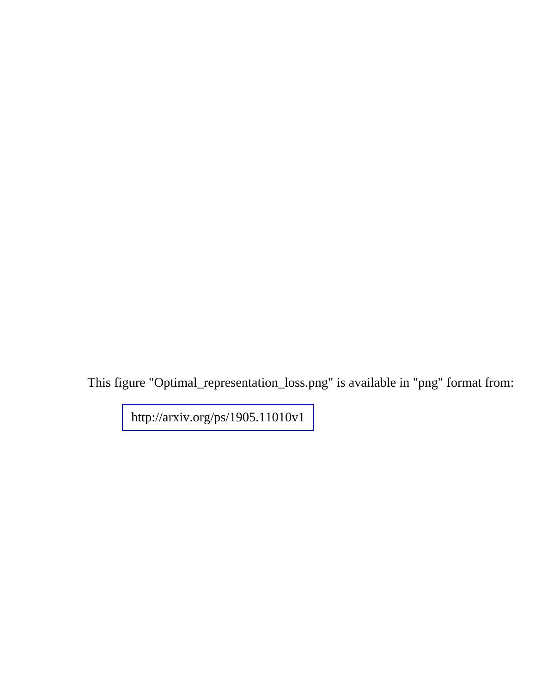This figure "Optimal\_representation\_loss.png" is available in "png" format from:

<http://arxiv.org/ps/1905.11010v1>